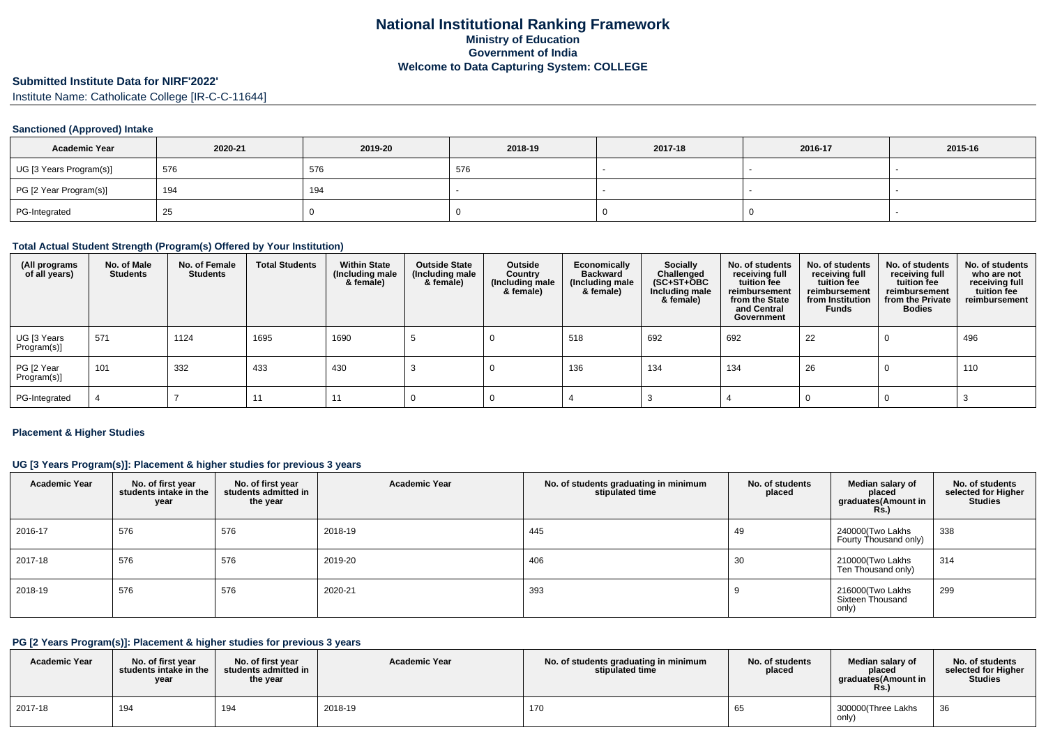# **Submitted Institute Data for NIRF'2022'**

Institute Name: Catholicate College [IR-C-C-11644]

#### **Sanctioned (Approved) Intake**

| <b>Academic Year</b>    | 2020-21 | 2019-20 | 2018-19 | 2017-18 | 2016-17 | 2015-16 |
|-------------------------|---------|---------|---------|---------|---------|---------|
| UG [3 Years Program(s)] | 576     | 576     | 576     |         |         |         |
| PG [2 Year Program(s)]  | 194     | 194     |         |         |         |         |
| PG-Integrated           | 25      |         |         |         |         |         |

#### **Total Actual Student Strength (Program(s) Offered by Your Institution)**

| (All programs<br>of all years) | No. of Male<br><b>Students</b> | No. of Female<br><b>Students</b> | <b>Total Students</b> | <b>Within State</b><br>(Including male<br>& female) | <b>Outside State</b><br>(Including male<br>& female) | Outside<br>Country<br>(Including male<br>& female) | Economically<br><b>Backward</b><br>(Including male<br>& female) | <b>Socially</b><br>Challenged<br>$(SC+ST+OBC)$<br>Including male<br>& female) | No. of students<br>receiving full<br>tuition fee<br>reimbursement<br>from the State<br>and Central<br>Government | No. of students<br>receiving full<br>tuition fee<br>reimbursement<br>from Institution<br><b>Funds</b> | No. of students<br>receiving full<br>tuition fee<br>reimbursement<br>from the Private<br><b>Bodies</b> | No. of students<br>who are not<br>receiving full<br>tuition fee<br>reimbursement |
|--------------------------------|--------------------------------|----------------------------------|-----------------------|-----------------------------------------------------|------------------------------------------------------|----------------------------------------------------|-----------------------------------------------------------------|-------------------------------------------------------------------------------|------------------------------------------------------------------------------------------------------------------|-------------------------------------------------------------------------------------------------------|--------------------------------------------------------------------------------------------------------|----------------------------------------------------------------------------------|
| UG [3 Years<br>Program(s)]     | 571                            | 1124                             | 1695                  | 1690                                                |                                                      |                                                    | 518                                                             | 692                                                                           | 692                                                                                                              | 22                                                                                                    |                                                                                                        | 496                                                                              |
| PG [2 Year<br>Program(s)]      | 101                            | 332                              | 433                   | 430                                                 |                                                      |                                                    | 136                                                             | 134                                                                           | 134                                                                                                              | 26                                                                                                    |                                                                                                        | 110                                                                              |
| PG-Integrated                  |                                |                                  | 11                    | 11                                                  |                                                      |                                                    |                                                                 |                                                                               |                                                                                                                  |                                                                                                       |                                                                                                        |                                                                                  |

#### **Placement & Higher Studies**

### **UG [3 Years Program(s)]: Placement & higher studies for previous 3 years**

| <b>Academic Year</b> | No. of first year<br>students intake in the<br>year | No. of first year<br>students admitted in<br>the year | <b>Academic Year</b> | No. of students graduating in minimum<br>stipulated time | No. of students<br>placed | Median salary of<br>placed<br>graduates(Amount in<br><b>Rs.)</b> | No. of students<br>selected for Higher<br><b>Studies</b> |
|----------------------|-----------------------------------------------------|-------------------------------------------------------|----------------------|----------------------------------------------------------|---------------------------|------------------------------------------------------------------|----------------------------------------------------------|
| 2016-17              | 576                                                 | 576                                                   | 2018-19              | 445                                                      | 49                        | 240000(Two Lakhs<br>Fourty Thousand only)                        | 338                                                      |
| 2017-18              | 576                                                 | 576                                                   | 2019-20              | 406                                                      | 30                        | 210000(Two Lakhs<br>Ten Thousand only)                           | 314                                                      |
| 2018-19              | 576                                                 | 576                                                   | 2020-21              | 393                                                      |                           | 216000(Two Lakhs<br>Sixteen Thousand<br>only)                    | 299                                                      |

## **PG [2 Years Program(s)]: Placement & higher studies for previous 3 years**

| <b>Academic Year</b> | No. of first year<br>students intake in the<br>year | No. of first year<br>students admitted in<br>the year | <b>Academic Year</b> | No. of students graduating in minimum<br>stipulated time | No. of students<br>placed | Median salary of<br>placed<br><b>graduates</b> (Amount in<br><b>Rs.</b> ) | No. of students<br>selected for Higher<br><b>Studies</b> |
|----------------------|-----------------------------------------------------|-------------------------------------------------------|----------------------|----------------------------------------------------------|---------------------------|---------------------------------------------------------------------------|----------------------------------------------------------|
| 2017-18              | 194                                                 | 194                                                   | 2018-19              | 170                                                      | 65                        | 300000(Three Lakhs<br>only)                                               | 36                                                       |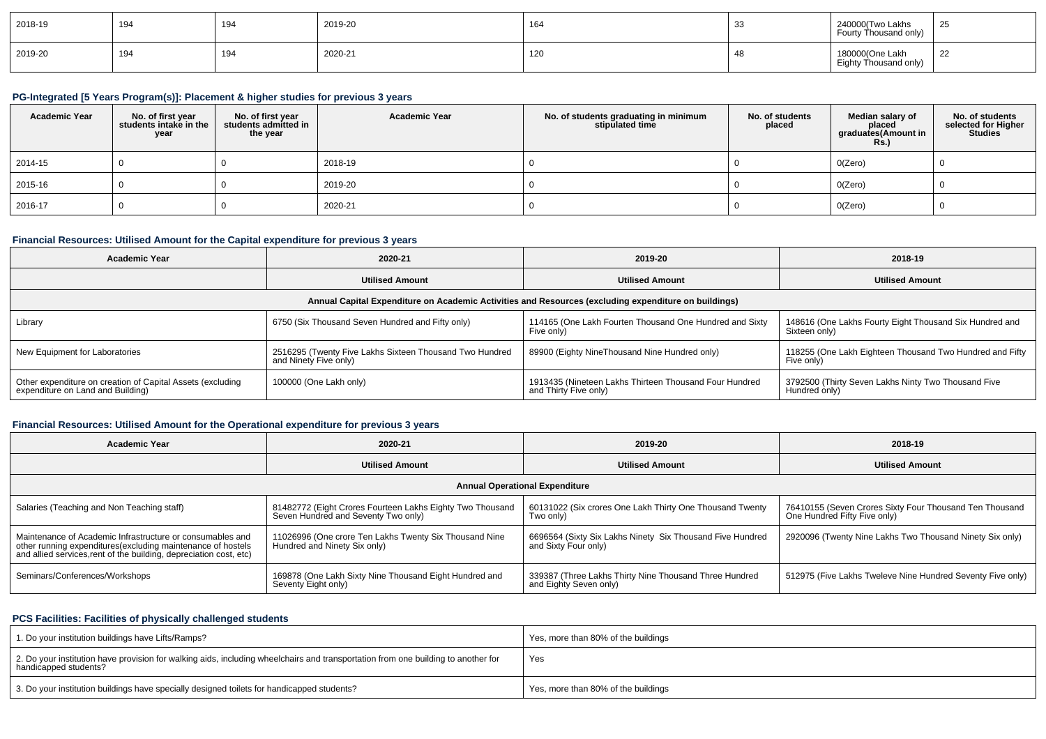| 2018-19 | 194 | 194 | 2019-20 | 164 | $\sim$<br>ູບປ | 240000(Two Lakhs<br>Fourty Thousand only) | 25 |
|---------|-----|-----|---------|-----|---------------|-------------------------------------------|----|
| 2019-20 | 194 | 194 | 2020-21 | 120 | 4٤            | 180000(One Lakh<br>Eighty Thousand only)  | 22 |

## **PG-Integrated [5 Years Program(s)]: Placement & higher studies for previous 3 years**

| <b>Academic Year</b> | No. of first year<br>students intake in the<br>year | No. of first vear<br>students admitted in<br>the year | <b>Academic Year</b> | No. of students graduating in minimum<br>stipulated time | No. of students<br>placed | Median salary of<br>placed<br>graduates(Amount in<br><b>Rs.)</b> | No. of students<br>selected for Higher<br>Studies |
|----------------------|-----------------------------------------------------|-------------------------------------------------------|----------------------|----------------------------------------------------------|---------------------------|------------------------------------------------------------------|---------------------------------------------------|
| 2014-15              |                                                     |                                                       | 2018-19              |                                                          |                           | 0(Zero)                                                          |                                                   |
| 2015-16              |                                                     |                                                       | 2019-20              |                                                          |                           | 0(Zero)                                                          |                                                   |
| 2016-17              |                                                     |                                                       | 2020-21              |                                                          |                           | 0(Zero)                                                          |                                                   |

## **Financial Resources: Utilised Amount for the Capital expenditure for previous 3 years**

| Academic Year                                                                                        | 2020-21                                                                          | 2019-20                                                                         | 2018-19                                                                  |  |  |  |  |  |  |  |
|------------------------------------------------------------------------------------------------------|----------------------------------------------------------------------------------|---------------------------------------------------------------------------------|--------------------------------------------------------------------------|--|--|--|--|--|--|--|
|                                                                                                      | <b>Utilised Amount</b>                                                           | <b>Utilised Amount</b>                                                          | <b>Utilised Amount</b>                                                   |  |  |  |  |  |  |  |
| Annual Capital Expenditure on Academic Activities and Resources (excluding expenditure on buildings) |                                                                                  |                                                                                 |                                                                          |  |  |  |  |  |  |  |
| Library                                                                                              | 6750 (Six Thousand Seven Hundred and Fifty only)                                 | 114165 (One Lakh Fourten Thousand One Hundred and Sixty<br>Five only)           | 148616 (One Lakhs Fourty Eight Thousand Six Hundred and<br>Sixteen only) |  |  |  |  |  |  |  |
| New Equipment for Laboratories                                                                       | 2516295 (Twenty Five Lakhs Sixteen Thousand Two Hundred<br>and Ninety Five only) | 89900 (Eighty NineThousand Nine Hundred only)                                   | 118255 (One Lakh Eighteen Thousand Two Hundred and Fifty<br>Five only)   |  |  |  |  |  |  |  |
| Other expenditure on creation of Capital Assets (excluding<br>expenditure on Land and Building)      | 100000 (One Lakh only)                                                           | 1913435 (Nineteen Lakhs Thirteen Thousand Four Hundred<br>and Thirty Five only) | 3792500 (Thirty Seven Lakhs Ninty Two Thousand Five<br>Hundred only)     |  |  |  |  |  |  |  |

## **Financial Resources: Utilised Amount for the Operational expenditure for previous 3 years**

| 2020-21<br><b>Academic Year</b>                                                                                                                                                                 |                                                                                                  | 2019-20                                                                           | 2018-19                                                                                 |  |  |  |  |  |  |  |
|-------------------------------------------------------------------------------------------------------------------------------------------------------------------------------------------------|--------------------------------------------------------------------------------------------------|-----------------------------------------------------------------------------------|-----------------------------------------------------------------------------------------|--|--|--|--|--|--|--|
| <b>Utilised Amount</b>                                                                                                                                                                          |                                                                                                  | <b>Utilised Amount</b>                                                            | <b>Utilised Amount</b>                                                                  |  |  |  |  |  |  |  |
| <b>Annual Operational Expenditure</b>                                                                                                                                                           |                                                                                                  |                                                                                   |                                                                                         |  |  |  |  |  |  |  |
| Salaries (Teaching and Non Teaching staff)                                                                                                                                                      | 81482772 (Eight Crores Fourteen Lakhs Eighty Two Thousand<br>Seven Hundred and Seventy Two only) | 60131022 (Six crores One Lakh Thirty One Thousand Twenty<br>Two only)             | 76410155 (Seven Crores Sixty Four Thousand Ten Thousand<br>One Hundred Fifty Five only) |  |  |  |  |  |  |  |
| Maintenance of Academic Infrastructure or consumables and<br>other running expenditures (excluding maintenance of hostels<br>and allied services, rent of the building, depreciation cost, etc) | 11026996 (One crore Ten Lakhs Twenty Six Thousand Nine<br>Hundred and Ninety Six only)           | 6696564 (Sixty Six Lakhs Ninety Six Thousand Five Hundred<br>and Sixty Four only) | 2920096 (Twenty Nine Lakhs Two Thousand Ninety Six only)                                |  |  |  |  |  |  |  |
| Seminars/Conferences/Workshops                                                                                                                                                                  | 169878 (One Lakh Sixty Nine Thousand Eight Hundred and<br>Seventy Eight only)                    | 339387 (Three Lakhs Thirty Nine Thousand Three Hundred<br>and Eighty Seven only)  | 512975 (Five Lakhs Tweleve Nine Hundred Seventy Five only)                              |  |  |  |  |  |  |  |

#### **PCS Facilities: Facilities of physically challenged students**

| 1. Do your institution buildings have Lifts/Ramps?                                                                                                         | Yes, more than 80% of the buildings |
|------------------------------------------------------------------------------------------------------------------------------------------------------------|-------------------------------------|
| 2. Do your institution have provision for walking aids, including wheelchairs and transportation from one building to another for<br>handicapped students? | Yes                                 |
| 3. Do your institution buildings have specially designed toilets for handicapped students?                                                                 | Yes, more than 80% of the buildings |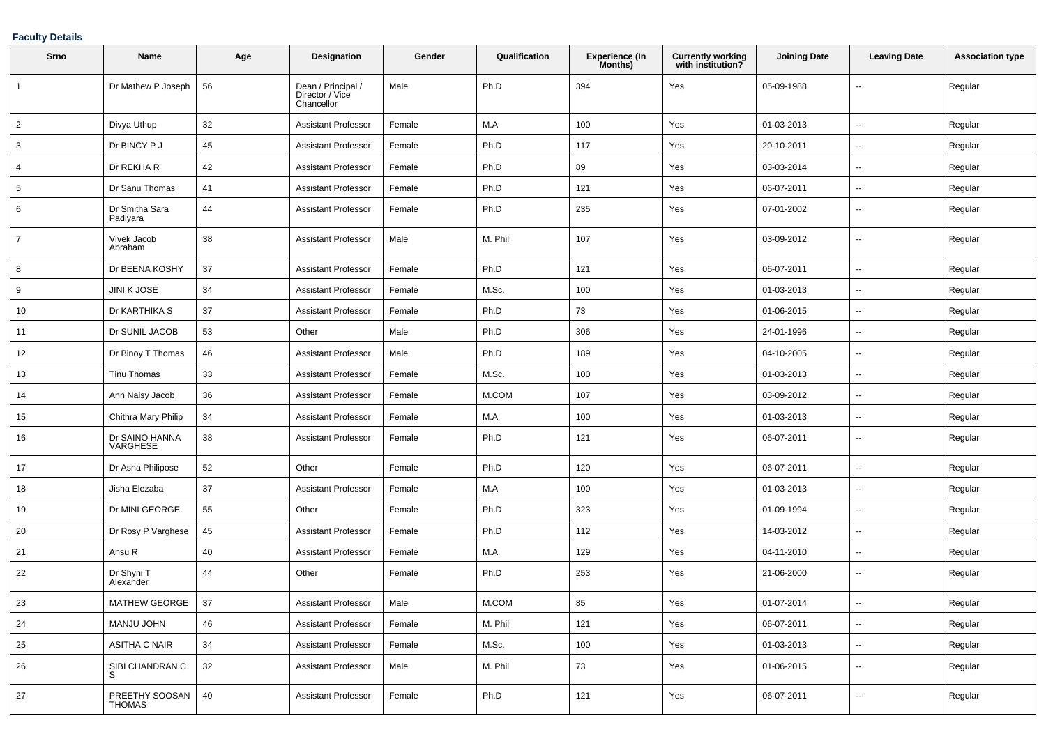### **Faculty Details**

| Srno           | Name                       | Age | Designation                                         | Gender | Qualification | Experience (In<br>Months) | <b>Currently working</b><br>with institution? | <b>Joining Date</b> | <b>Leaving Date</b>      | <b>Association type</b> |
|----------------|----------------------------|-----|-----------------------------------------------------|--------|---------------|---------------------------|-----------------------------------------------|---------------------|--------------------------|-------------------------|
| 1              | Dr Mathew P Joseph         | 56  | Dean / Principal /<br>Director / Vice<br>Chancellor | Male   | Ph.D          | 394                       | Yes                                           | 05-09-1988          | $\sim$                   | Regular                 |
| $\overline{2}$ | Divya Uthup                | 32  | <b>Assistant Professor</b>                          | Female | M.A           | 100                       | Yes                                           | 01-03-2013          | $\ddotsc$                | Regular                 |
| 3              | Dr BINCY P J               | 45  | Assistant Professor                                 | Female | Ph.D          | 117                       | Yes                                           | 20-10-2011          | $\sim$                   | Regular                 |
| 4              | Dr REKHA R                 | 42  | Assistant Professor                                 | Female | Ph.D          | 89                        | Yes                                           | 03-03-2014          | $\sim$                   | Regular                 |
| 5              | Dr Sanu Thomas             | 41  | Assistant Professor                                 | Female | Ph.D          | 121                       | Yes                                           | 06-07-2011          | $\sim$                   | Regular                 |
| 6              | Dr Smitha Sara<br>Padiyara | 44  | Assistant Professor                                 | Female | Ph.D          | 235                       | Yes                                           | 07-01-2002          | $\overline{\phantom{a}}$ | Regular                 |
| $\overline{7}$ | Vivek Jacob<br>Abraham     | 38  | <b>Assistant Professor</b>                          | Male   | M. Phil       | 107                       | Yes                                           | 03-09-2012          | $\sim$                   | Regular                 |
| 8              | Dr BEENA KOSHY             | 37  | Assistant Professor                                 | Female | Ph.D          | 121                       | Yes                                           | 06-07-2011          | $\sim$                   | Regular                 |
| 9              | <b>JINI K JOSE</b>         | 34  | <b>Assistant Professor</b>                          | Female | M.Sc.         | 100                       | Yes                                           | 01-03-2013          | $\overline{\phantom{a}}$ | Regular                 |
| 10             | Dr KARTHIKA S              | 37  | Assistant Professor                                 | Female | Ph.D          | 73                        | Yes                                           | 01-06-2015          | $\overline{\phantom{a}}$ | Regular                 |
| 11             | Dr SUNIL JACOB             | 53  | Other                                               | Male   | Ph.D          | 306                       | Yes                                           | 24-01-1996          | $\sim$                   | Regular                 |
| 12             | Dr Binoy T Thomas          | 46  | Assistant Professor                                 | Male   | Ph.D          | 189                       | Yes                                           | 04-10-2005          | $\sim$                   | Regular                 |
| 13             | Tinu Thomas                | 33  | Assistant Professor                                 | Female | M.Sc.         | 100                       | Yes                                           | 01-03-2013          | $\sim$                   | Regular                 |
| 14             | Ann Naisy Jacob            | 36  | Assistant Professor                                 | Female | M.COM         | 107                       | Yes                                           | 03-09-2012          | $\sim$                   | Regular                 |
| 15             | Chithra Mary Philip        | 34  | <b>Assistant Professor</b>                          | Female | M.A           | 100                       | Yes                                           | 01-03-2013          | $\overline{\phantom{a}}$ | Regular                 |
| 16             | Dr SAINO HANNA<br>VARGHESE | 38  | <b>Assistant Professor</b>                          | Female | Ph.D          | 121                       | Yes                                           | 06-07-2011          | $\overline{\phantom{a}}$ | Regular                 |
| 17             | Dr Asha Philipose          | 52  | Other                                               | Female | Ph.D          | 120                       | Yes                                           | 06-07-2011          | $\ddotsc$                | Regular                 |
| 18             | Jisha Elezaba              | 37  | Assistant Professor                                 | Female | M.A           | 100                       | Yes                                           | 01-03-2013          | $\sim$                   | Regular                 |
| 19             | Dr MINI GEORGE             | 55  | Other                                               | Female | Ph.D          | 323                       | Yes                                           | 01-09-1994          | $\sim$                   | Regular                 |
| 20             | Dr Rosy P Varghese         | 45  | <b>Assistant Professor</b>                          | Female | Ph.D          | 112                       | Yes                                           | 14-03-2012          | $\mathbf{u}$             | Regular                 |
| 21             | Ansu R                     | 40  | Assistant Professor                                 | Female | M.A           | 129                       | Yes                                           | 04-11-2010          | $\sim$                   | Regular                 |
| 22             | Dr Shyni T<br>Alexander    | 44  | Other                                               | Female | Ph.D          | 253                       | Yes                                           | 21-06-2000          | $\sim$                   | Regular                 |
| 23             | MATHEW GEORGE              | 37  | Assistant Professor                                 | Male   | M.COM         | 85                        | Yes                                           | 01-07-2014          |                          | Regular                 |
| 24             | MANJU JOHN                 | 46  | <b>Assistant Professor</b>                          | Female | M. Phil       | 121                       | Yes                                           | 06-07-2011          | $\overline{\phantom{a}}$ | Regular                 |
| 25             | <b>ASITHA C NAIR</b>       | 34  | <b>Assistant Professor</b>                          | Female | M.Sc.         | 100                       | Yes                                           | 01-03-2013          | $\sim$                   | Regular                 |
| 26             | SIBI CHANDRAN C<br>S       | 32  | <b>Assistant Professor</b>                          | Male   | M. Phil       | 73                        | Yes                                           | 01-06-2015          | $\sim$                   | Regular                 |
| 27             | PREETHY SOOSAN<br>THOMAS   | 40  | <b>Assistant Professor</b>                          | Female | Ph.D          | 121                       | Yes                                           | 06-07-2011          | $\sim$                   | Regular                 |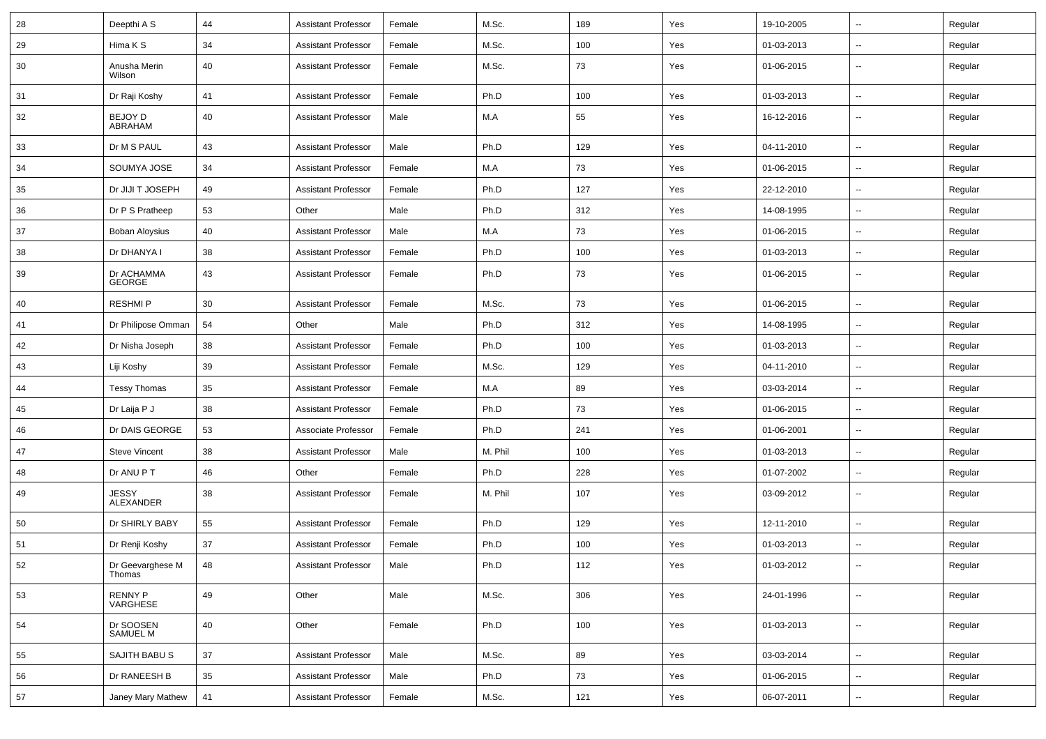| 28 | Deepthi A S                | 44 | <b>Assistant Professor</b> | Female | M.Sc.   | 189 | Yes | 19-10-2005 | $\sim$                   | Regular |
|----|----------------------------|----|----------------------------|--------|---------|-----|-----|------------|--------------------------|---------|
| 29 | Hima K S                   | 34 | <b>Assistant Professor</b> | Female | M.Sc.   | 100 | Yes | 01-03-2013 | $\sim$                   | Regular |
| 30 | Anusha Merin<br>Wilson     | 40 | <b>Assistant Professor</b> | Female | M.Sc.   | 73  | Yes | 01-06-2015 | --                       | Regular |
| 31 | Dr Raji Koshy              | 41 | <b>Assistant Professor</b> | Female | Ph.D    | 100 | Yes | 01-03-2013 | $\sim$                   | Regular |
| 32 | BEJOY D<br>ABRAHAM         | 40 | <b>Assistant Professor</b> | Male   | M.A     | 55  | Yes | 16-12-2016 | ۰.                       | Regular |
| 33 | Dr M S PAUL                | 43 | <b>Assistant Professor</b> | Male   | Ph.D    | 129 | Yes | 04-11-2010 | $\overline{\phantom{a}}$ | Regular |
| 34 | SOUMYA JOSE                | 34 | <b>Assistant Professor</b> | Female | M.A     | 73  | Yes | 01-06-2015 | $\sim$                   | Regular |
| 35 | Dr JIJI T JOSEPH           | 49 | <b>Assistant Professor</b> | Female | Ph.D    | 127 | Yes | 22-12-2010 | $\sim$                   | Regular |
| 36 | Dr P S Pratheep            | 53 | Other                      | Male   | Ph.D    | 312 | Yes | 14-08-1995 | $\sim$                   | Regular |
| 37 | Boban Aloysius             | 40 | <b>Assistant Professor</b> | Male   | M.A     | 73  | Yes | 01-06-2015 | $\sim$                   | Regular |
| 38 | Dr DHANYA I                | 38 | <b>Assistant Professor</b> | Female | Ph.D    | 100 | Yes | 01-03-2013 | $\overline{\phantom{a}}$ | Regular |
| 39 | Dr ACHAMMA<br>GEORGE       | 43 | <b>Assistant Professor</b> | Female | Ph.D    | 73  | Yes | 01-06-2015 | $\overline{\phantom{a}}$ | Regular |
| 40 | <b>RESHMIP</b>             | 30 | <b>Assistant Professor</b> | Female | M.Sc.   | 73  | Yes | 01-06-2015 | Ξ.                       | Regular |
| 41 | Dr Philipose Omman         | 54 | Other                      | Male   | Ph.D    | 312 | Yes | 14-08-1995 | $\sim$                   | Regular |
| 42 | Dr Nisha Joseph            | 38 | <b>Assistant Professor</b> | Female | Ph.D    | 100 | Yes | 01-03-2013 | $\sim$                   | Regular |
| 43 | Liji Koshy                 | 39 | <b>Assistant Professor</b> | Female | M.Sc.   | 129 | Yes | 04-11-2010 | $\sim$                   | Regular |
| 44 | <b>Tessy Thomas</b>        | 35 | <b>Assistant Professor</b> | Female | M.A     | 89  | Yes | 03-03-2014 | $\sim$                   | Regular |
| 45 | Dr Laija P J               | 38 | <b>Assistant Professor</b> | Female | Ph.D    | 73  | Yes | 01-06-2015 | $\overline{\phantom{a}}$ | Regular |
| 46 | Dr DAIS GEORGE             | 53 | Associate Professor        | Female | Ph.D    | 241 | Yes | 01-06-2001 | $\overline{a}$           | Regular |
| 47 | <b>Steve Vincent</b>       | 38 | <b>Assistant Professor</b> | Male   | M. Phil | 100 | Yes | 01-03-2013 | $\sim$                   | Regular |
| 48 | Dr ANU P T                 | 46 | Other                      | Female | Ph.D    | 228 | Yes | 01-07-2002 | $\sim$                   | Regular |
| 49 | <b>JESSY</b><br>ALEXANDER  | 38 | <b>Assistant Professor</b> | Female | M. Phil | 107 | Yes | 03-09-2012 | $\overline{\phantom{a}}$ | Regular |
| 50 | Dr SHIRLY BABY             | 55 | <b>Assistant Professor</b> | Female | Ph.D    | 129 | Yes | 12-11-2010 | $\sim$                   | Regular |
| 51 | Dr Renji Koshy             | 37 | <b>Assistant Professor</b> | Female | Ph.D    | 100 | Yes | 01-03-2013 | $\sim$                   | Regular |
| 52 | Dr Geevarghese M<br>Thomas | 48 | <b>Assistant Professor</b> | Male   | Ph.D    | 112 | Yes | 01-03-2012 | $\sim$                   | Regular |
| 53 | RENNY P<br>VARGHESE        | 49 | Other                      | Male   | M.Sc.   | 306 | Yes | 24-01-1996 | $\sim$                   | Regular |
| 54 | Dr SOOSEN<br>SAMUEL M      | 40 | Other                      | Female | Ph.D    | 100 | Yes | 01-03-2013 | $\sim$                   | Regular |
| 55 | SAJITH BABU S              | 37 | <b>Assistant Professor</b> | Male   | M.Sc.   | 89  | Yes | 03-03-2014 | $\overline{\phantom{a}}$ | Regular |
| 56 | Dr RANEESH B               | 35 | <b>Assistant Professor</b> | Male   | Ph.D    | 73  | Yes | 01-06-2015 | Ξ.                       | Regular |
| 57 | Janey Mary Mathew          | 41 | <b>Assistant Professor</b> | Female | M.Sc.   | 121 | Yes | 06-07-2011 | $\sim$                   | Regular |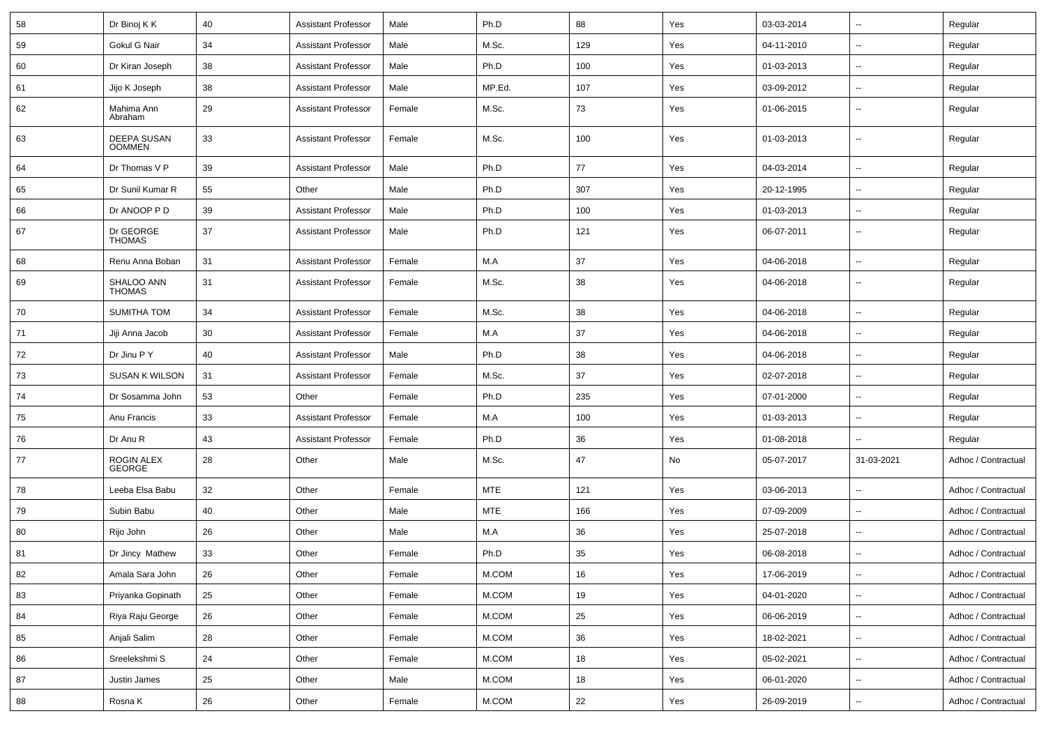| 58 | Dr Binoj K K                 | 40 | <b>Assistant Professor</b> | Male   | Ph.D       | 88  | Yes | 03-03-2014 | $\overline{\phantom{a}}$ | Regular             |
|----|------------------------------|----|----------------------------|--------|------------|-----|-----|------------|--------------------------|---------------------|
| 59 | Gokul G Nair                 | 34 | <b>Assistant Professor</b> | Male   | M.Sc.      | 129 | Yes | 04-11-2010 | $\overline{\phantom{a}}$ | Regular             |
| 60 | Dr Kiran Joseph              | 38 | <b>Assistant Professor</b> | Male   | Ph.D       | 100 | Yes | 01-03-2013 | $\overline{\phantom{a}}$ | Regular             |
| 61 | Jijo K Joseph                | 38 | <b>Assistant Professor</b> | Male   | MP.Ed.     | 107 | Yes | 03-09-2012 | $\overline{\phantom{a}}$ | Regular             |
| 62 | Mahima Ann<br>Abraham        | 29 | <b>Assistant Professor</b> | Female | M.Sc.      | 73  | Yes | 01-06-2015 | $\overline{\phantom{a}}$ | Regular             |
| 63 | DEEPA SUSAN<br><b>OOMMEN</b> | 33 | <b>Assistant Professor</b> | Female | M.Sc.      | 100 | Yes | 01-03-2013 | $\overline{\phantom{a}}$ | Regular             |
| 64 | Dr Thomas V P                | 39 | <b>Assistant Professor</b> | Male   | Ph.D       | 77  | Yes | 04-03-2014 | Щ,                       | Regular             |
| 65 | Dr Sunil Kumar R             | 55 | Other                      | Male   | Ph.D       | 307 | Yes | 20-12-1995 | $\overline{\phantom{a}}$ | Regular             |
| 66 | Dr ANOOP P D                 | 39 | <b>Assistant Professor</b> | Male   | Ph.D       | 100 | Yes | 01-03-2013 | $\overline{\phantom{a}}$ | Regular             |
| 67 | Dr GEORGE<br><b>THOMAS</b>   | 37 | <b>Assistant Professor</b> | Male   | Ph.D       | 121 | Yes | 06-07-2011 | $\overline{\phantom{a}}$ | Regular             |
| 68 | Renu Anna Boban              | 31 | <b>Assistant Professor</b> | Female | M.A        | 37  | Yes | 04-06-2018 | --                       | Regular             |
| 69 | SHALOO ANN<br><b>THOMAS</b>  | 31 | <b>Assistant Professor</b> | Female | M.Sc.      | 38  | Yes | 04-06-2018 | $\overline{\phantom{a}}$ | Regular             |
| 70 | SUMITHA TOM                  | 34 | <b>Assistant Professor</b> | Female | M.Sc.      | 38  | Yes | 04-06-2018 | $\overline{\phantom{a}}$ | Regular             |
| 71 | Jiji Anna Jacob              | 30 | <b>Assistant Professor</b> | Female | M.A        | 37  | Yes | 04-06-2018 | $\overline{\phantom{a}}$ | Regular             |
| 72 | Dr Jinu P Y                  | 40 | <b>Assistant Professor</b> | Male   | Ph.D       | 38  | Yes | 04-06-2018 | $\overline{\phantom{a}}$ | Regular             |
| 73 | <b>SUSAN K WILSON</b>        | 31 | <b>Assistant Professor</b> | Female | M.Sc.      | 37  | Yes | 02-07-2018 | $\overline{\phantom{a}}$ | Regular             |
| 74 | Dr Sosamma John              | 53 | Other                      | Female | Ph.D       | 235 | Yes | 07-01-2000 | $\overline{\phantom{a}}$ | Regular             |
| 75 | Anu Francis                  | 33 | <b>Assistant Professor</b> | Female | M.A        | 100 | Yes | 01-03-2013 | --                       | Regular             |
| 76 | Dr Anu R                     | 43 | <b>Assistant Professor</b> | Female | Ph.D       | 36  | Yes | 01-08-2018 | $\overline{\phantom{a}}$ | Regular             |
| 77 | ROGIN ALEX<br>GEORGE         | 28 | Other                      | Male   | M.Sc.      | 47  | No  | 05-07-2017 | 31-03-2021               | Adhoc / Contractual |
| 78 | Leeba Elsa Babu              | 32 | Other                      | Female | <b>MTE</b> | 121 | Yes | 03-06-2013 | $\overline{\phantom{a}}$ | Adhoc / Contractual |
| 79 | Subin Babu                   | 40 | Other                      | Male   | <b>MTE</b> | 166 | Yes | 07-09-2009 | $\overline{\phantom{a}}$ | Adhoc / Contractual |
| 80 | Rijo John                    | 26 | Other                      | Male   | M.A        | 36  | Yes | 25-07-2018 | $\overline{\phantom{a}}$ | Adhoc / Contractual |
| 81 | Dr Jincy Mathew              | 33 | Other                      | Female | Ph.D       | 35  | Yes | 06-08-2018 | Щ,                       | Adhoc / Contractual |
| 82 | Amala Sara John              | 26 | Other                      | Female | M.COM      | 16  | Yes | 17-06-2019 | $\overline{\phantom{a}}$ | Adhoc / Contractual |
| 83 | Priyanka Gopinath            | 25 | Other                      | Female | $M.$ COM   | 19  | Yes | 04-01-2020 | Щ,                       | Adhoc / Contractual |
| 84 | Riya Raju George             | 26 | Other                      | Female | M.COM      | 25  | Yes | 06-06-2019 | Щ,                       | Adhoc / Contractual |
| 85 | Anjali Salim                 | 28 | Other                      | Female | M.COM      | 36  | Yes | 18-02-2021 | Ξ.                       | Adhoc / Contractual |
| 86 | Sreelekshmi S                | 24 | Other                      | Female | M.COM      | 18  | Yes | 05-02-2021 | --                       | Adhoc / Contractual |
| 87 | Justin James                 | 25 | Other                      | Male   | M.COM      | 18  | Yes | 06-01-2020 | н.                       | Adhoc / Contractual |
| 88 | Rosna K                      | 26 | Other                      | Female | M.COM      | 22  | Yes | 26-09-2019 | --                       | Adhoc / Contractual |